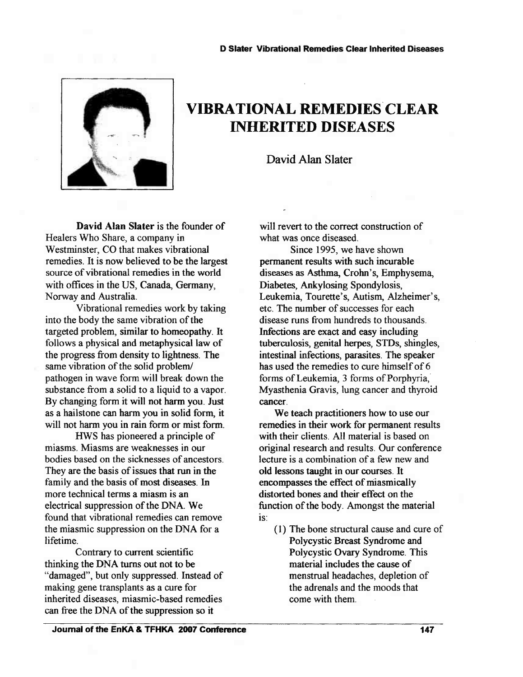

## VIBRATIONAL REMEDIES CLEAR INHERITED DISEASES

David Alan Slater

David Alan Slater is the founder of Healers Who Share, a company in Westminster, CO that makes vibrational remedies. It is now believed to be the largest source of vibrational remedies in the world with offices in the US, Canada, Germany, Norway and Australia.

Vibrational remedies work by taking into the body the same vibration of the targeted problem, similar to homeopathy. It follows a physical and metaphysical law of the progress from density to lightness. The same vibration of the solid problem/ pathogen in wave form will break down the substance from a solid to a liquid to a vapor. By changing form it will not harm you. Just as a hailstone can harm you in solid form, it will not harm you in rain form or mist form.

HWS has pioneered a principle of miasms. Miasms are weaknesses in our bodies based on the sicknesses of ancestors. They are the basis of issues that run in the family and the basis of most diseases. In more technical terms a miasm is an electrical suppression of the DNA. We found that vibrational remedies can remove the miasmic suppression on the DNA for a lifetime.

Contrary to current scientific thinking the DNA turns out not to be "damaged", but only suppressed. Instead of making gene transplants as a cure for inherited diseases, miasmic-based remedies can free the DNA of the suppression so it

will revert to the correct construction of what was once diseased.

Since 1995, we have shown permanent results with such incurable diseases as Asthma, Crohn's, Emphysema, Diabetes, Ankylosing Spondylosis, Leukemia, Tourette's, Autism, Alzheimer's, etc. The number of successes for each disease runs from hundreds to thousands. Infections are exact and easy including tuberculosis, genital herpes, STDs, shingles, intestinal infections, parasites. The speaker has used the remedies to cure himself of 6 forms of Leukemia, 3 forms of Porphyria, Myasthenia Gravis, lung cancer and thyroid cancer.

We teach practitioners how to use our remedies in their work for permanent results with their clients. All material is based on original research and results. Our conference lecture is a combination of a few new and old lessons taught in our courses. It encompasses the effect of miasmically distorted bones and their effect on the function of the body. Amongst the material is:

(1) The bone structural cause and cure of Polycystic Breast Syndrome and Polycystic Ovary Syndrome. This material includes the cause of menstrual headaches, depletion of the adrenals and the moods that come with them.